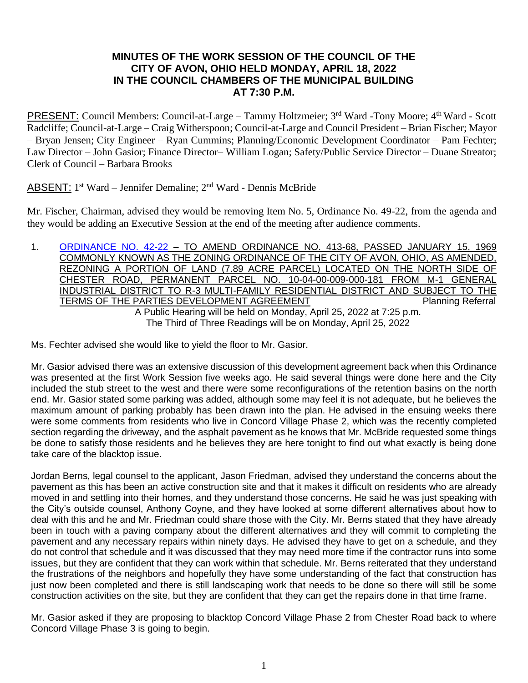# **MINUTES OF THE WORK SESSION OF THE COUNCIL OF THE CITY OF AVON, OHIO HELD MONDAY, APRIL 18, 2022 IN THE COUNCIL CHAMBERS OF THE MUNICIPAL BUILDING AT 7:30 P.M.**

PRESENT: Council Members: Council-at-Large - Tammy Holtzmeier; 3<sup>rd</sup> Ward - Tony Moore; 4<sup>th</sup> Ward - Scott Radcliffe; Council-at-Large – Craig Witherspoon; Council-at-Large and Council President – Brian Fischer; Mayor – Bryan Jensen; City Engineer – Ryan Cummins; Planning/Economic Development Coordinator – Pam Fechter; Law Director – John Gasior; Finance Director– William Logan; Safety/Public Service Director – Duane Streator; Clerk of Council – Barbara Brooks

# ABSENT: 1<sup>st</sup> Ward – Jennifer Demaline; 2<sup>nd</sup> Ward - Dennis McBride

Mr. Fischer, Chairman, advised they would be removing Item No. 5, Ordinance No. 49-22, from the agenda and they would be adding an Executive Session at the end of the meeting after audience comments.

1. [ORDINANCE NO. 42-22](https://www.cityofavon.com/DocumentCenter/View/7699/Ordinance-No-42-22---Rezoning---Concord-Village---Final) – TO AMEND ORDINANCE NO. 413-68, PASSED JANUARY 15, 1969 COMMONLY KNOWN AS THE ZONING ORDINANCE OF THE CITY OF AVON, OHIO, AS AMENDED, REZONING A PORTION OF LAND (7.89 ACRE PARCEL) LOCATED ON THE NORTH SIDE OF CHESTER ROAD, PERMANENT PARCEL NO. 10-04-00-009-000-181 FROM M-1 GENERAL INDUSTRIAL DISTRICT TO R-3 MULTI-FAMILY RESIDENTIAL DISTRICT AND SUBJECT TO THE TERMS OF THE PARTIES DEVELOPMENT AGREEMENT **Framework** Planning Referral A Public Hearing will be held on Monday, April 25, 2022 at 7:25 p.m. The Third of Three Readings will be on Monday, April 25, 2022

Ms. Fechter advised she would like to yield the floor to Mr. Gasior.

Mr. Gasior advised there was an extensive discussion of this development agreement back when this Ordinance was presented at the first Work Session five weeks ago. He said several things were done here and the City included the stub street to the west and there were some reconfigurations of the retention basins on the north end. Mr. Gasior stated some parking was added, although some may feel it is not adequate, but he believes the maximum amount of parking probably has been drawn into the plan. He advised in the ensuing weeks there were some comments from residents who live in Concord Village Phase 2, which was the recently completed section regarding the driveway, and the asphalt pavement as he knows that Mr. McBride requested some things be done to satisfy those residents and he believes they are here tonight to find out what exactly is being done take care of the blacktop issue.

Jordan Berns, legal counsel to the applicant, Jason Friedman, advised they understand the concerns about the pavement as this has been an active construction site and that it makes it difficult on residents who are already moved in and settling into their homes, and they understand those concerns. He said he was just speaking with the City's outside counsel, Anthony Coyne, and they have looked at some different alternatives about how to deal with this and he and Mr. Friedman could share those with the City. Mr. Berns stated that they have already been in touch with a paving company about the different alternatives and they will commit to completing the pavement and any necessary repairs within ninety days. He advised they have to get on a schedule, and they do not control that schedule and it was discussed that they may need more time if the contractor runs into some issues, but they are confident that they can work within that schedule. Mr. Berns reiterated that they understand the frustrations of the neighbors and hopefully they have some understanding of the fact that construction has just now been completed and there is still landscaping work that needs to be done so there will still be some construction activities on the site, but they are confident that they can get the repairs done in that time frame.

Mr. Gasior asked if they are proposing to blacktop Concord Village Phase 2 from Chester Road back to where Concord Village Phase 3 is going to begin.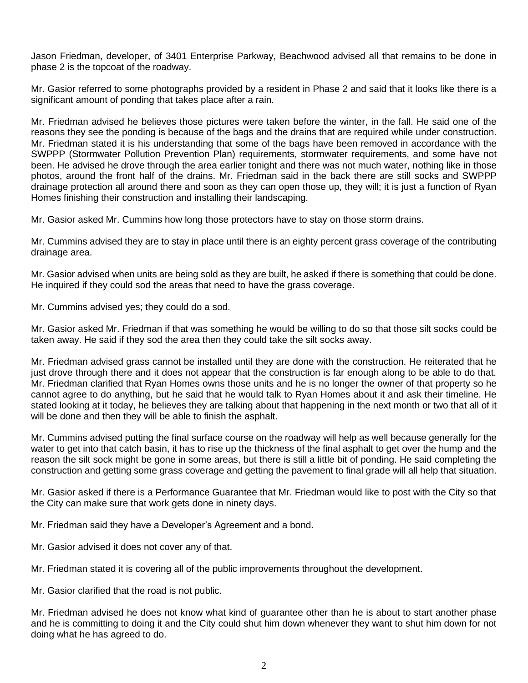Jason Friedman, developer, of 3401 Enterprise Parkway, Beachwood advised all that remains to be done in phase 2 is the topcoat of the roadway.

Mr. Gasior referred to some photographs provided by a resident in Phase 2 and said that it looks like there is a significant amount of ponding that takes place after a rain.

Mr. Friedman advised he believes those pictures were taken before the winter, in the fall. He said one of the reasons they see the ponding is because of the bags and the drains that are required while under construction. Mr. Friedman stated it is his understanding that some of the bags have been removed in accordance with the SWPPP (Stormwater Pollution Prevention Plan) requirements, stormwater requirements, and some have not been. He advised he drove through the area earlier tonight and there was not much water, nothing like in those photos, around the front half of the drains. Mr. Friedman said in the back there are still socks and SWPPP drainage protection all around there and soon as they can open those up, they will; it is just a function of Ryan Homes finishing their construction and installing their landscaping.

Mr. Gasior asked Mr. Cummins how long those protectors have to stay on those storm drains.

Mr. Cummins advised they are to stay in place until there is an eighty percent grass coverage of the contributing drainage area.

Mr. Gasior advised when units are being sold as they are built, he asked if there is something that could be done. He inquired if they could sod the areas that need to have the grass coverage.

Mr. Cummins advised yes; they could do a sod.

Mr. Gasior asked Mr. Friedman if that was something he would be willing to do so that those silt socks could be taken away. He said if they sod the area then they could take the silt socks away.

Mr. Friedman advised grass cannot be installed until they are done with the construction. He reiterated that he just drove through there and it does not appear that the construction is far enough along to be able to do that. Mr. Friedman clarified that Ryan Homes owns those units and he is no longer the owner of that property so he cannot agree to do anything, but he said that he would talk to Ryan Homes about it and ask their timeline. He stated looking at it today, he believes they are talking about that happening in the next month or two that all of it will be done and then they will be able to finish the asphalt.

Mr. Cummins advised putting the final surface course on the roadway will help as well because generally for the water to get into that catch basin, it has to rise up the thickness of the final asphalt to get over the hump and the reason the silt sock might be gone in some areas, but there is still a little bit of ponding. He said completing the construction and getting some grass coverage and getting the pavement to final grade will all help that situation.

Mr. Gasior asked if there is a Performance Guarantee that Mr. Friedman would like to post with the City so that the City can make sure that work gets done in ninety days.

Mr. Friedman said they have a Developer's Agreement and a bond.

Mr. Gasior advised it does not cover any of that.

Mr. Friedman stated it is covering all of the public improvements throughout the development.

Mr. Gasior clarified that the road is not public.

Mr. Friedman advised he does not know what kind of guarantee other than he is about to start another phase and he is committing to doing it and the City could shut him down whenever they want to shut him down for not doing what he has agreed to do.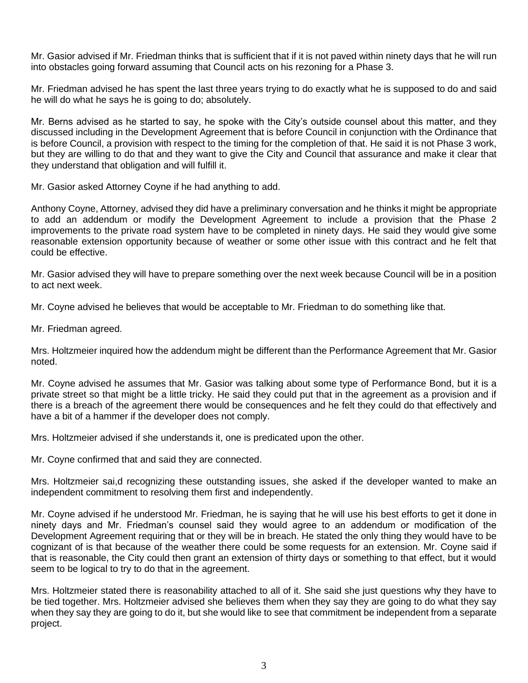Mr. Gasior advised if Mr. Friedman thinks that is sufficient that if it is not paved within ninety days that he will run into obstacles going forward assuming that Council acts on his rezoning for a Phase 3.

Mr. Friedman advised he has spent the last three years trying to do exactly what he is supposed to do and said he will do what he says he is going to do; absolutely.

Mr. Berns advised as he started to say, he spoke with the City's outside counsel about this matter, and they discussed including in the Development Agreement that is before Council in conjunction with the Ordinance that is before Council, a provision with respect to the timing for the completion of that. He said it is not Phase 3 work, but they are willing to do that and they want to give the City and Council that assurance and make it clear that they understand that obligation and will fulfill it.

Mr. Gasior asked Attorney Coyne if he had anything to add.

Anthony Coyne, Attorney, advised they did have a preliminary conversation and he thinks it might be appropriate to add an addendum or modify the Development Agreement to include a provision that the Phase 2 improvements to the private road system have to be completed in ninety days. He said they would give some reasonable extension opportunity because of weather or some other issue with this contract and he felt that could be effective.

Mr. Gasior advised they will have to prepare something over the next week because Council will be in a position to act next week.

Mr. Coyne advised he believes that would be acceptable to Mr. Friedman to do something like that.

Mr. Friedman agreed.

Mrs. Holtzmeier inquired how the addendum might be different than the Performance Agreement that Mr. Gasior noted.

Mr. Coyne advised he assumes that Mr. Gasior was talking about some type of Performance Bond, but it is a private street so that might be a little tricky. He said they could put that in the agreement as a provision and if there is a breach of the agreement there would be consequences and he felt they could do that effectively and have a bit of a hammer if the developer does not comply.

Mrs. Holtzmeier advised if she understands it, one is predicated upon the other.

Mr. Coyne confirmed that and said they are connected.

Mrs. Holtzmeier sai,d recognizing these outstanding issues, she asked if the developer wanted to make an independent commitment to resolving them first and independently.

Mr. Coyne advised if he understood Mr. Friedman, he is saying that he will use his best efforts to get it done in ninety days and Mr. Friedman's counsel said they would agree to an addendum or modification of the Development Agreement requiring that or they will be in breach. He stated the only thing they would have to be cognizant of is that because of the weather there could be some requests for an extension. Mr. Coyne said if that is reasonable, the City could then grant an extension of thirty days or something to that effect, but it would seem to be logical to try to do that in the agreement.

Mrs. Holtzmeier stated there is reasonability attached to all of it. She said she just questions why they have to be tied together. Mrs. Holtzmeier advised she believes them when they say they are going to do what they say when they say they are going to do it, but she would like to see that commitment be independent from a separate project.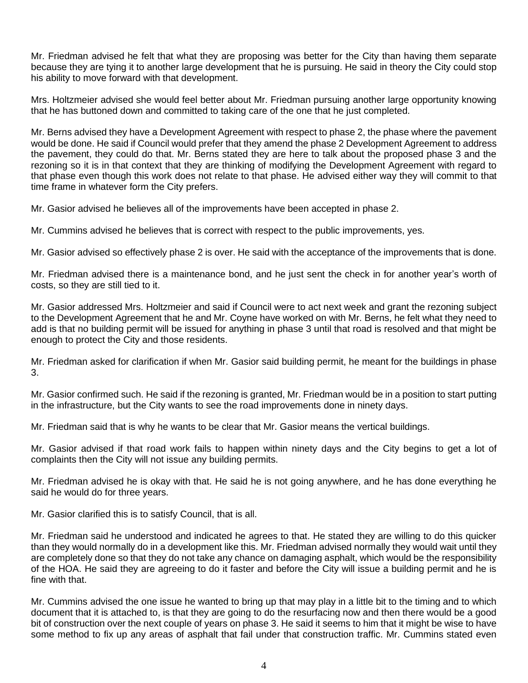Mr. Friedman advised he felt that what they are proposing was better for the City than having them separate because they are tying it to another large development that he is pursuing. He said in theory the City could stop his ability to move forward with that development.

Mrs. Holtzmeier advised she would feel better about Mr. Friedman pursuing another large opportunity knowing that he has buttoned down and committed to taking care of the one that he just completed.

Mr. Berns advised they have a Development Agreement with respect to phase 2, the phase where the pavement would be done. He said if Council would prefer that they amend the phase 2 Development Agreement to address the pavement, they could do that. Mr. Berns stated they are here to talk about the proposed phase 3 and the rezoning so it is in that context that they are thinking of modifying the Development Agreement with regard to that phase even though this work does not relate to that phase. He advised either way they will commit to that time frame in whatever form the City prefers.

Mr. Gasior advised he believes all of the improvements have been accepted in phase 2.

Mr. Cummins advised he believes that is correct with respect to the public improvements, yes.

Mr. Gasior advised so effectively phase 2 is over. He said with the acceptance of the improvements that is done.

Mr. Friedman advised there is a maintenance bond, and he just sent the check in for another year's worth of costs, so they are still tied to it.

Mr. Gasior addressed Mrs. Holtzmeier and said if Council were to act next week and grant the rezoning subject to the Development Agreement that he and Mr. Coyne have worked on with Mr. Berns, he felt what they need to add is that no building permit will be issued for anything in phase 3 until that road is resolved and that might be enough to protect the City and those residents.

Mr. Friedman asked for clarification if when Mr. Gasior said building permit, he meant for the buildings in phase 3.

Mr. Gasior confirmed such. He said if the rezoning is granted, Mr. Friedman would be in a position to start putting in the infrastructure, but the City wants to see the road improvements done in ninety days.

Mr. Friedman said that is why he wants to be clear that Mr. Gasior means the vertical buildings.

Mr. Gasior advised if that road work fails to happen within ninety days and the City begins to get a lot of complaints then the City will not issue any building permits.

Mr. Friedman advised he is okay with that. He said he is not going anywhere, and he has done everything he said he would do for three years.

Mr. Gasior clarified this is to satisfy Council, that is all.

Mr. Friedman said he understood and indicated he agrees to that. He stated they are willing to do this quicker than they would normally do in a development like this. Mr. Friedman advised normally they would wait until they are completely done so that they do not take any chance on damaging asphalt, which would be the responsibility of the HOA. He said they are agreeing to do it faster and before the City will issue a building permit and he is fine with that.

Mr. Cummins advised the one issue he wanted to bring up that may play in a little bit to the timing and to which document that it is attached to, is that they are going to do the resurfacing now and then there would be a good bit of construction over the next couple of years on phase 3. He said it seems to him that it might be wise to have some method to fix up any areas of asphalt that fail under that construction traffic. Mr. Cummins stated even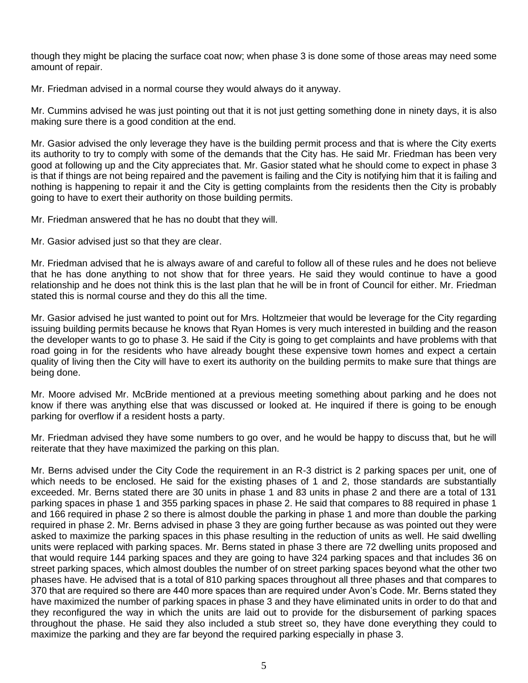though they might be placing the surface coat now; when phase 3 is done some of those areas may need some amount of repair.

Mr. Friedman advised in a normal course they would always do it anyway.

Mr. Cummins advised he was just pointing out that it is not just getting something done in ninety days, it is also making sure there is a good condition at the end.

Mr. Gasior advised the only leverage they have is the building permit process and that is where the City exerts its authority to try to comply with some of the demands that the City has. He said Mr. Friedman has been very good at following up and the City appreciates that. Mr. Gasior stated what he should come to expect in phase 3 is that if things are not being repaired and the pavement is failing and the City is notifying him that it is failing and nothing is happening to repair it and the City is getting complaints from the residents then the City is probably going to have to exert their authority on those building permits.

Mr. Friedman answered that he has no doubt that they will.

Mr. Gasior advised just so that they are clear.

Mr. Friedman advised that he is always aware of and careful to follow all of these rules and he does not believe that he has done anything to not show that for three years. He said they would continue to have a good relationship and he does not think this is the last plan that he will be in front of Council for either. Mr. Friedman stated this is normal course and they do this all the time.

Mr. Gasior advised he just wanted to point out for Mrs. Holtzmeier that would be leverage for the City regarding issuing building permits because he knows that Ryan Homes is very much interested in building and the reason the developer wants to go to phase 3. He said if the City is going to get complaints and have problems with that road going in for the residents who have already bought these expensive town homes and expect a certain quality of living then the City will have to exert its authority on the building permits to make sure that things are being done.

Mr. Moore advised Mr. McBride mentioned at a previous meeting something about parking and he does not know if there was anything else that was discussed or looked at. He inquired if there is going to be enough parking for overflow if a resident hosts a party.

Mr. Friedman advised they have some numbers to go over, and he would be happy to discuss that, but he will reiterate that they have maximized the parking on this plan.

Mr. Berns advised under the City Code the requirement in an R-3 district is 2 parking spaces per unit, one of which needs to be enclosed. He said for the existing phases of 1 and 2, those standards are substantially exceeded. Mr. Berns stated there are 30 units in phase 1 and 83 units in phase 2 and there are a total of 131 parking spaces in phase 1 and 355 parking spaces in phase 2. He said that compares to 88 required in phase 1 and 166 required in phase 2 so there is almost double the parking in phase 1 and more than double the parking required in phase 2. Mr. Berns advised in phase 3 they are going further because as was pointed out they were asked to maximize the parking spaces in this phase resulting in the reduction of units as well. He said dwelling units were replaced with parking spaces. Mr. Berns stated in phase 3 there are 72 dwelling units proposed and that would require 144 parking spaces and they are going to have 324 parking spaces and that includes 36 on street parking spaces, which almost doubles the number of on street parking spaces beyond what the other two phases have. He advised that is a total of 810 parking spaces throughout all three phases and that compares to 370 that are required so there are 440 more spaces than are required under Avon's Code. Mr. Berns stated they have maximized the number of parking spaces in phase 3 and they have eliminated units in order to do that and they reconfigured the way in which the units are laid out to provide for the disbursement of parking spaces throughout the phase. He said they also included a stub street so, they have done everything they could to maximize the parking and they are far beyond the required parking especially in phase 3.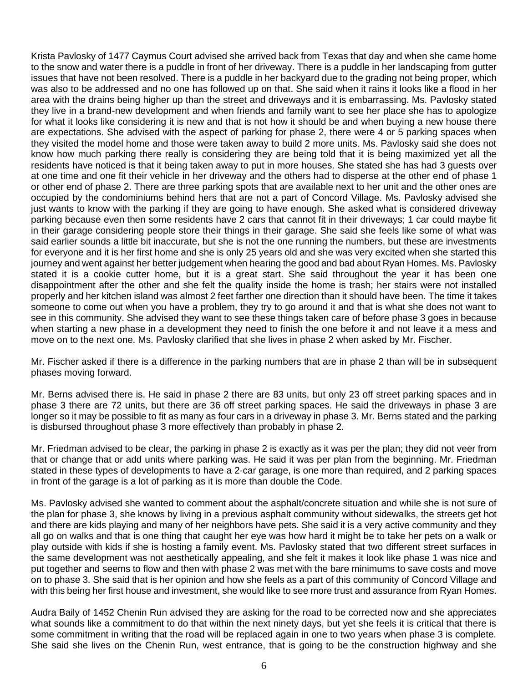Krista Pavlosky of 1477 Caymus Court advised she arrived back from Texas that day and when she came home to the snow and water there is a puddle in front of her driveway. There is a puddle in her landscaping from gutter issues that have not been resolved. There is a puddle in her backyard due to the grading not being proper, which was also to be addressed and no one has followed up on that. She said when it rains it looks like a flood in her area with the drains being higher up than the street and driveways and it is embarrassing. Ms. Pavlosky stated they live in a brand-new development and when friends and family want to see her place she has to apologize for what it looks like considering it is new and that is not how it should be and when buying a new house there are expectations. She advised with the aspect of parking for phase 2, there were 4 or 5 parking spaces when they visited the model home and those were taken away to build 2 more units. Ms. Pavlosky said she does not know how much parking there really is considering they are being told that it is being maximized yet all the residents have noticed is that it being taken away to put in more houses. She stated she has had 3 guests over at one time and one fit their vehicle in her driveway and the others had to disperse at the other end of phase 1 or other end of phase 2. There are three parking spots that are available next to her unit and the other ones are occupied by the condominiums behind hers that are not a part of Concord Village. Ms. Pavlosky advised she just wants to know with the parking if they are going to have enough. She asked what is considered driveway parking because even then some residents have 2 cars that cannot fit in their driveways; 1 car could maybe fit in their garage considering people store their things in their garage. She said she feels like some of what was said earlier sounds a little bit inaccurate, but she is not the one running the numbers, but these are investments for everyone and it is her first home and she is only 25 years old and she was very excited when she started this journey and went against her better judgement when hearing the good and bad about Ryan Homes. Ms. Pavlosky stated it is a cookie cutter home, but it is a great start. She said throughout the year it has been one disappointment after the other and she felt the quality inside the home is trash; her stairs were not installed properly and her kitchen island was almost 2 feet farther one direction than it should have been. The time it takes someone to come out when you have a problem, they try to go around it and that is what she does not want to see in this community. She advised they want to see these things taken care of before phase 3 goes in because when starting a new phase in a development they need to finish the one before it and not leave it a mess and move on to the next one. Ms. Pavlosky clarified that she lives in phase 2 when asked by Mr. Fischer.

Mr. Fischer asked if there is a difference in the parking numbers that are in phase 2 than will be in subsequent phases moving forward.

Mr. Berns advised there is. He said in phase 2 there are 83 units, but only 23 off street parking spaces and in phase 3 there are 72 units, but there are 36 off street parking spaces. He said the driveways in phase 3 are longer so it may be possible to fit as many as four cars in a driveway in phase 3. Mr. Berns stated and the parking is disbursed throughout phase 3 more effectively than probably in phase 2.

Mr. Friedman advised to be clear, the parking in phase 2 is exactly as it was per the plan; they did not veer from that or change that or add units where parking was. He said it was per plan from the beginning. Mr. Friedman stated in these types of developments to have a 2-car garage, is one more than required, and 2 parking spaces in front of the garage is a lot of parking as it is more than double the Code.

Ms. Pavlosky advised she wanted to comment about the asphalt/concrete situation and while she is not sure of the plan for phase 3, she knows by living in a previous asphalt community without sidewalks, the streets get hot and there are kids playing and many of her neighbors have pets. She said it is a very active community and they all go on walks and that is one thing that caught her eye was how hard it might be to take her pets on a walk or play outside with kids if she is hosting a family event. Ms. Pavlosky stated that two different street surfaces in the same development was not aesthetically appealing, and she felt it makes it look like phase 1 was nice and put together and seems to flow and then with phase 2 was met with the bare minimums to save costs and move on to phase 3. She said that is her opinion and how she feels as a part of this community of Concord Village and with this being her first house and investment, she would like to see more trust and assurance from Ryan Homes.

Audra Baily of 1452 Chenin Run advised they are asking for the road to be corrected now and she appreciates what sounds like a commitment to do that within the next ninety days, but yet she feels it is critical that there is some commitment in writing that the road will be replaced again in one to two years when phase 3 is complete. She said she lives on the Chenin Run, west entrance, that is going to be the construction highway and she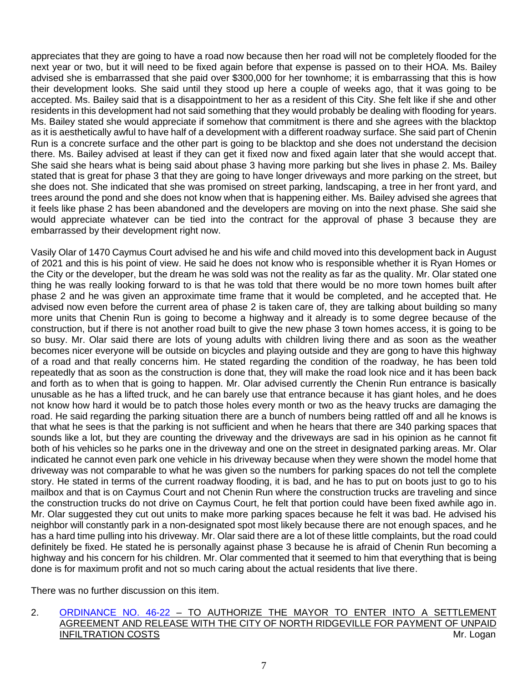appreciates that they are going to have a road now because then her road will not be completely flooded for the next year or two, but it will need to be fixed again before that expense is passed on to their HOA. Ms. Bailey advised she is embarrassed that she paid over \$300,000 for her townhome; it is embarrassing that this is how their development looks. She said until they stood up here a couple of weeks ago, that it was going to be accepted. Ms. Bailey said that is a disappointment to her as a resident of this City. She felt like if she and other residents in this development had not said something that they would probably be dealing with flooding for years. Ms. Bailey stated she would appreciate if somehow that commitment is there and she agrees with the blacktop as it is aesthetically awful to have half of a development with a different roadway surface. She said part of Chenin Run is a concrete surface and the other part is going to be blacktop and she does not understand the decision there. Ms. Bailey advised at least if they can get it fixed now and fixed again later that she would accept that. She said she hears what is being said about phase 3 having more parking but she lives in phase 2. Ms. Bailey stated that is great for phase 3 that they are going to have longer driveways and more parking on the street, but she does not. She indicated that she was promised on street parking, landscaping, a tree in her front yard, and trees around the pond and she does not know when that is happening either. Ms. Bailey advised she agrees that it feels like phase 2 has been abandoned and the developers are moving on into the next phase. She said she would appreciate whatever can be tied into the contract for the approval of phase 3 because they are embarrassed by their development right now.

Vasily Olar of 1470 Caymus Court advised he and his wife and child moved into this development back in August of 2021 and this is his point of view. He said he does not know who is responsible whether it is Ryan Homes or the City or the developer, but the dream he was sold was not the reality as far as the quality. Mr. Olar stated one thing he was really looking forward to is that he was told that there would be no more town homes built after phase 2 and he was given an approximate time frame that it would be completed, and he accepted that. He advised now even before the current area of phase 2 is taken care of, they are talking about building so many more units that Chenin Run is going to become a highway and it already is to some degree because of the construction, but if there is not another road built to give the new phase 3 town homes access, it is going to be so busy. Mr. Olar said there are lots of young adults with children living there and as soon as the weather becomes nicer everyone will be outside on bicycles and playing outside and they are gong to have this highway of a road and that really concerns him. He stated regarding the condition of the roadway, he has been told repeatedly that as soon as the construction is done that, they will make the road look nice and it has been back and forth as to when that is going to happen. Mr. Olar advised currently the Chenin Run entrance is basically unusable as he has a lifted truck, and he can barely use that entrance because it has giant holes, and he does not know how hard it would be to patch those holes every month or two as the heavy trucks are damaging the road. He said regarding the parking situation there are a bunch of numbers being rattled off and all he knows is that what he sees is that the parking is not sufficient and when he hears that there are 340 parking spaces that sounds like a lot, but they are counting the driveway and the driveways are sad in his opinion as he cannot fit both of his vehicles so he parks one in the driveway and one on the street in designated parking areas. Mr. Olar indicated he cannot even park one vehicle in his driveway because when they were shown the model home that driveway was not comparable to what he was given so the numbers for parking spaces do not tell the complete story. He stated in terms of the current roadway flooding, it is bad, and he has to put on boots just to go to his mailbox and that is on Caymus Court and not Chenin Run where the construction trucks are traveling and since the construction trucks do not drive on Caymus Court, he felt that portion could have been fixed awhile ago in. Mr. Olar suggested they cut out units to make more parking spaces because he felt it was bad. He advised his neighbor will constantly park in a non-designated spot most likely because there are not enough spaces, and he has a hard time pulling into his driveway. Mr. Olar said there are a lot of these little complaints, but the road could definitely be fixed. He stated he is personally against phase 3 because he is afraid of Chenin Run becoming a highway and his concern for his children. Mr. Olar commented that it seemed to him that everything that is being done is for maximum profit and not so much caring about the actual residents that live there.

There was no further discussion on this item.

### 2. [ORDINANCE NO. 46-22](https://www.cityofavon.com/DocumentCenter/View/7746/Ordinance-No-46-22-Settle-Agree---N-Ridgeville-Infiltration) – TO AUTHORIZE THE MAYOR TO ENTER INTO A SETTLEMENT AGREEMENT AND RELEASE WITH THE CITY OF NORTH RIDGEVILLE FOR PAYMENT OF UNPAID INFILTRATION COSTS **Mr. Logan**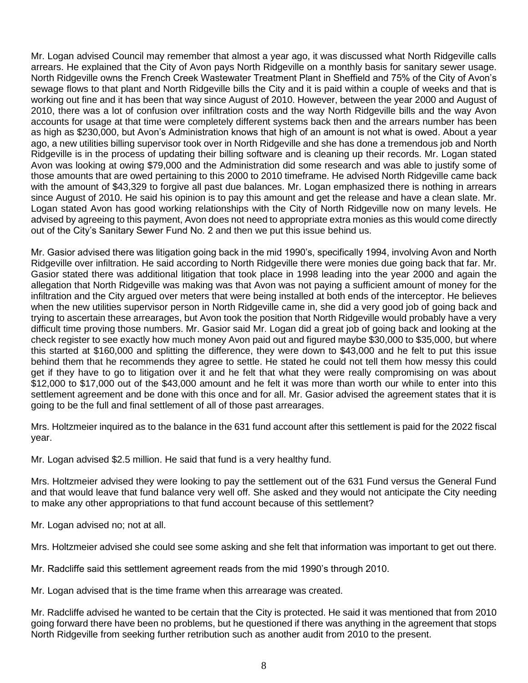Mr. Logan advised Council may remember that almost a year ago, it was discussed what North Ridgeville calls arrears. He explained that the City of Avon pays North Ridgeville on a monthly basis for sanitary sewer usage. North Ridgeville owns the French Creek Wastewater Treatment Plant in Sheffield and 75% of the City of Avon's sewage flows to that plant and North Ridgeville bills the City and it is paid within a couple of weeks and that is working out fine and it has been that way since August of 2010. However, between the year 2000 and August of 2010, there was a lot of confusion over infiltration costs and the way North Ridgeville bills and the way Avon accounts for usage at that time were completely different systems back then and the arrears number has been as high as \$230,000, but Avon's Administration knows that high of an amount is not what is owed. About a year ago, a new utilities billing supervisor took over in North Ridgeville and she has done a tremendous job and North Ridgeville is in the process of updating their billing software and is cleaning up their records. Mr. Logan stated Avon was looking at owing \$79,000 and the Administration did some research and was able to justify some of those amounts that are owed pertaining to this 2000 to 2010 timeframe. He advised North Ridgeville came back with the amount of \$43,329 to forgive all past due balances. Mr. Logan emphasized there is nothing in arrears since August of 2010. He said his opinion is to pay this amount and get the release and have a clean slate. Mr. Logan stated Avon has good working relationships with the City of North Ridgeville now on many levels. He advised by agreeing to this payment, Avon does not need to appropriate extra monies as this would come directly out of the City's Sanitary Sewer Fund No. 2 and then we put this issue behind us.

Mr. Gasior advised there was litigation going back in the mid 1990's, specifically 1994, involving Avon and North Ridgeville over infiltration. He said according to North Ridgeville there were monies due going back that far. Mr. Gasior stated there was additional litigation that took place in 1998 leading into the year 2000 and again the allegation that North Ridgeville was making was that Avon was not paying a sufficient amount of money for the infiltration and the City argued over meters that were being installed at both ends of the interceptor. He believes when the new utilities supervisor person in North Ridgeville came in, she did a very good job of going back and trying to ascertain these arrearages, but Avon took the position that North Ridgeville would probably have a very difficult time proving those numbers. Mr. Gasior said Mr. Logan did a great job of going back and looking at the check register to see exactly how much money Avon paid out and figured maybe \$30,000 to \$35,000, but where this started at \$160,000 and splitting the difference, they were down to \$43,000 and he felt to put this issue behind them that he recommends they agree to settle. He stated he could not tell them how messy this could get if they have to go to litigation over it and he felt that what they were really compromising on was about \$12,000 to \$17,000 out of the \$43,000 amount and he felt it was more than worth our while to enter into this settlement agreement and be done with this once and for all. Mr. Gasior advised the agreement states that it is going to be the full and final settlement of all of those past arrearages.

Mrs. Holtzmeier inquired as to the balance in the 631 fund account after this settlement is paid for the 2022 fiscal year.

Mr. Logan advised \$2.5 million. He said that fund is a very healthy fund.

Mrs. Holtzmeier advised they were looking to pay the settlement out of the 631 Fund versus the General Fund and that would leave that fund balance very well off. She asked and they would not anticipate the City needing to make any other appropriations to that fund account because of this settlement?

Mr. Logan advised no; not at all.

Mrs. Holtzmeier advised she could see some asking and she felt that information was important to get out there.

Mr. Radcliffe said this settlement agreement reads from the mid 1990's through 2010.

Mr. Logan advised that is the time frame when this arrearage was created.

Mr. Radcliffe advised he wanted to be certain that the City is protected. He said it was mentioned that from 2010 going forward there have been no problems, but he questioned if there was anything in the agreement that stops North Ridgeville from seeking further retribution such as another audit from 2010 to the present.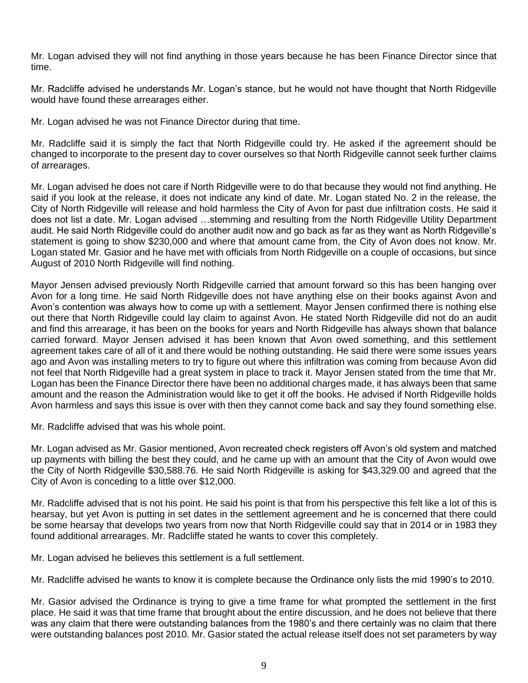Mr. Logan advised they will not find anything in those years because he has been Finance Director since that time.

Mr. Radcliffe advised he understands Mr. Logan's stance, but he would not have thought that North Ridgeville would have found these arrearages either.

Mr. Logan advised he was not Finance Director during that time.

Mr. Radcliffe said it is simply the fact that North Ridgeville could try. He asked if the agreement should be changed to incorporate to the present day to cover ourselves so that North Ridgeville cannot seek further claims of arrearages.

Mr. Logan advised he does not care if North Ridgeville were to do that because they would not find anything. He said if you look at the release, it does not indicate any kind of date. Mr. Logan stated No. 2 in the release, the City of North Ridgeville will release and hold harmless the City of Avon for past due infiltration costs. He said it does not list a date. Mr. Logan advised …stemming and resulting from the North Ridgeville Utility Department audit. He said North Ridgeville could do another audit now and go back as far as they want as North Ridgeville's statement is going to show \$230,000 and where that amount came from, the City of Avon does not know. Mr. Logan stated Mr. Gasior and he have met with officials from North Ridgeville on a couple of occasions, but since August of 2010 North Ridgeville will find nothing.

Mayor Jensen advised previously North Ridgeville carried that amount forward so this has been hanging over Avon for a long time. He said North Ridgeville does not have anything else on their books against Avon and Avon's contention was always how to come up with a settlement. Mayor Jensen confirmed there is nothing else out there that North Ridgeville could lay claim to against Avon. He stated North Ridgeville did not do an audit and find this arrearage, it has been on the books for years and North Ridgeville has always shown that balance carried forward. Mayor Jensen advised it has been known that Avon owed something, and this settlement agreement takes care of all of it and there would be nothing outstanding. He said there were some issues years ago and Avon was installing meters to try to figure out where this infiltration was coming from because Avon did not feel that North Ridgeville had a great system in place to track it. Mayor Jensen stated from the time that Mr. Logan has been the Finance Director there have been no additional charges made, it has always been that same amount and the reason the Administration would like to get it off the books. He advised if North Ridgeville holds Avon harmless and says this issue is over with then they cannot come back and say they found something else.

Mr. Radcliffe advised that was his whole point.

Mr. Logan advised as Mr. Gasior mentioned, Avon recreated check registers off Avon's old system and matched up payments with billing the best they could, and he came up with an amount that the City of Avon would owe the City of North Ridgeville \$30,588.76. He said North Ridgeville is asking for \$43,329.00 and agreed that the City of Avon is conceding to a little over \$12,000.

Mr. Radcliffe advised that is not his point. He said his point is that from his perspective this felt like a lot of this is hearsay, but yet Avon is putting in set dates in the settlement agreement and he is concerned that there could be some hearsay that develops two years from now that North Ridgeville could say that in 2014 or in 1983 they found additional arrearages. Mr. Radcliffe stated he wants to cover this completely.

Mr. Logan advised he believes this settlement is a full settlement.

Mr. Radcliffe advised he wants to know it is complete because the Ordinance only lists the mid 1990's to 2010.

Mr. Gasior advised the Ordinance is trying to give a time frame for what prompted the settlement in the first place. He said it was that time frame that brought about the entire discussion, and he does not believe that there was any claim that there were outstanding balances from the 1980's and there certainly was no claim that there were outstanding balances post 2010. Mr. Gasior stated the actual release itself does not set parameters by way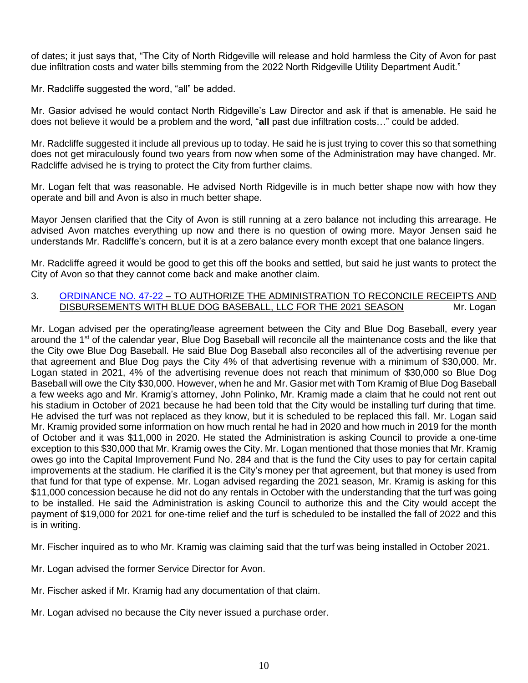of dates; it just says that, "The City of North Ridgeville will release and hold harmless the City of Avon for past due infiltration costs and water bills stemming from the 2022 North Ridgeville Utility Department Audit."

Mr. Radcliffe suggested the word, "all" be added.

Mr. Gasior advised he would contact North Ridgeville's Law Director and ask if that is amenable. He said he does not believe it would be a problem and the word, "**all** past due infiltration costs…" could be added.

Mr. Radcliffe suggested it include all previous up to today. He said he is just trying to cover this so that something does not get miraculously found two years from now when some of the Administration may have changed. Mr. Radcliffe advised he is trying to protect the City from further claims.

Mr. Logan felt that was reasonable. He advised North Ridgeville is in much better shape now with how they operate and bill and Avon is also in much better shape.

Mayor Jensen clarified that the City of Avon is still running at a zero balance not including this arrearage. He advised Avon matches everything up now and there is no question of owing more. Mayor Jensen said he understands Mr. Radcliffe's concern, but it is at a zero balance every month except that one balance lingers.

Mr. Radcliffe agreed it would be good to get this off the books and settled, but said he just wants to protect the City of Avon so that they cannot come back and make another claim.

### 3. [ORDINANCE NO. 47-22](https://www.cityofavon.com/DocumentCenter/View/7747/Ordinance-No-47-22--Blue-Dog-Baseball) – TO AUTHORIZE THE ADMINISTRATION TO RECONCILE RECEIPTS AND DISBURSEMENTS WITH BLUE DOG BASEBALL, LLC FOR THE 2021 SEASON Mr. Logan

Mr. Logan advised per the operating/lease agreement between the City and Blue Dog Baseball, every year around the 1<sup>st</sup> of the calendar year, Blue Dog Baseball will reconcile all the maintenance costs and the like that the City owe Blue Dog Baseball. He said Blue Dog Baseball also reconciles all of the advertising revenue per that agreement and Blue Dog pays the City 4% of that advertising revenue with a minimum of \$30,000. Mr. Logan stated in 2021, 4% of the advertising revenue does not reach that minimum of \$30,000 so Blue Dog Baseball will owe the City \$30,000. However, when he and Mr. Gasior met with Tom Kramig of Blue Dog Baseball a few weeks ago and Mr. Kramig's attorney, John Polinko, Mr. Kramig made a claim that he could not rent out his stadium in October of 2021 because he had been told that the City would be installing turf during that time. He advised the turf was not replaced as they know, but it is scheduled to be replaced this fall. Mr. Logan said Mr. Kramig provided some information on how much rental he had in 2020 and how much in 2019 for the month of October and it was \$11,000 in 2020. He stated the Administration is asking Council to provide a one-time exception to this \$30,000 that Mr. Kramig owes the City. Mr. Logan mentioned that those monies that Mr. Kramig owes go into the Capital Improvement Fund No. 284 and that is the fund the City uses to pay for certain capital improvements at the stadium. He clarified it is the City's money per that agreement, but that money is used from that fund for that type of expense. Mr. Logan advised regarding the 2021 season, Mr. Kramig is asking for this \$11,000 concession because he did not do any rentals in October with the understanding that the turf was going to be installed. He said the Administration is asking Council to authorize this and the City would accept the payment of \$19,000 for 2021 for one-time relief and the turf is scheduled to be installed the fall of 2022 and this is in writing.

Mr. Fischer inquired as to who Mr. Kramig was claiming said that the turf was being installed in October 2021.

- Mr. Logan advised the former Service Director for Avon.
- Mr. Fischer asked if Mr. Kramig had any documentation of that claim.
- Mr. Logan advised no because the City never issued a purchase order.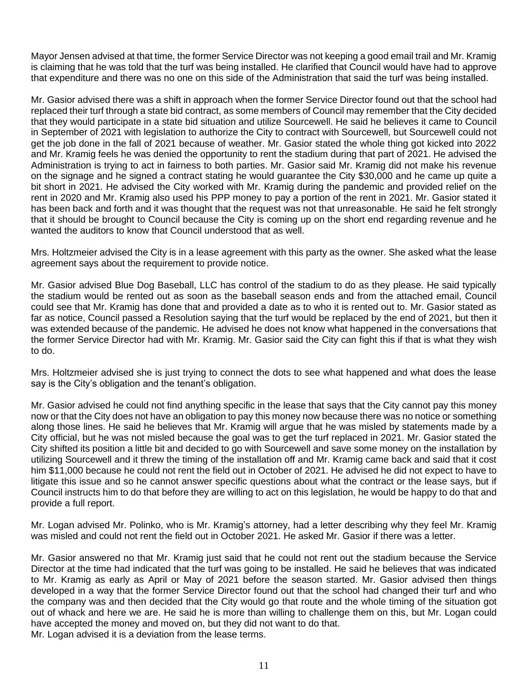Mayor Jensen advised at that time, the former Service Director was not keeping a good email trail and Mr. Kramig is claiming that he was told that the turf was being installed. He clarified that Council would have had to approve that expenditure and there was no one on this side of the Administration that said the turf was being installed.

Mr. Gasior advised there was a shift in approach when the former Service Director found out that the school had replaced their turf through a state bid contract, as some members of Council may remember that the City decided that they would participate in a state bid situation and utilize Sourcewell. He said he believes it came to Council in September of 2021 with legislation to authorize the City to contract with Sourcewell, but Sourcewell could not get the job done in the fall of 2021 because of weather. Mr. Gasior stated the whole thing got kicked into 2022 and Mr. Kramig feels he was denied the opportunity to rent the stadium during that part of 2021. He advised the Administration is trying to act in fairness to both parties. Mr. Gasior said Mr. Kramig did not make his revenue on the signage and he signed a contract stating he would guarantee the City \$30,000 and he came up quite a bit short in 2021. He advised the City worked with Mr. Kramig during the pandemic and provided relief on the rent in 2020 and Mr. Kramig also used his PPP money to pay a portion of the rent in 2021. Mr. Gasior stated it has been back and forth and it was thought that the request was not that unreasonable. He said he felt strongly that it should be brought to Council because the City is coming up on the short end regarding revenue and he wanted the auditors to know that Council understood that as well.

Mrs. Holtzmeier advised the City is in a lease agreement with this party as the owner. She asked what the lease agreement says about the requirement to provide notice.

Mr. Gasior advised Blue Dog Baseball, LLC has control of the stadium to do as they please. He said typically the stadium would be rented out as soon as the baseball season ends and from the attached email, Council could see that Mr. Kramig has done that and provided a date as to who it is rented out to. Mr. Gasior stated as far as notice, Council passed a Resolution saying that the turf would be replaced by the end of 2021, but then it was extended because of the pandemic. He advised he does not know what happened in the conversations that the former Service Director had with Mr. Kramig. Mr. Gasior said the City can fight this if that is what they wish to do.

Mrs. Holtzmeier advised she is just trying to connect the dots to see what happened and what does the lease say is the City's obligation and the tenant's obligation.

Mr. Gasior advised he could not find anything specific in the lease that says that the City cannot pay this money now or that the City does not have an obligation to pay this money now because there was no notice or something along those lines. He said he believes that Mr. Kramig will argue that he was misled by statements made by a City official, but he was not misled because the goal was to get the turf replaced in 2021. Mr. Gasior stated the City shifted its position a little bit and decided to go with Sourcewell and save some money on the installation by utilizing Sourcewell and it threw the timing of the installation off and Mr. Kramig came back and said that it cost him \$11,000 because he could not rent the field out in October of 2021. He advised he did not expect to have to litigate this issue and so he cannot answer specific questions about what the contract or the lease says, but if Council instructs him to do that before they are willing to act on this legislation, he would be happy to do that and provide a full report.

Mr. Logan advised Mr. Polinko, who is Mr. Kramig's attorney, had a letter describing why they feel Mr. Kramig was misled and could not rent the field out in October 2021. He asked Mr. Gasior if there was a letter.

Mr. Gasior answered no that Mr. Kramig just said that he could not rent out the stadium because the Service Director at the time had indicated that the turf was going to be installed. He said he believes that was indicated to Mr. Kramig as early as April or May of 2021 before the season started. Mr. Gasior advised then things developed in a way that the former Service Director found out that the school had changed their turf and who the company was and then decided that the City would go that route and the whole timing of the situation got out of whack and here we are. He said he is more than willing to challenge them on this, but Mr. Logan could have accepted the money and moved on, but they did not want to do that. Mr. Logan advised it is a deviation from the lease terms.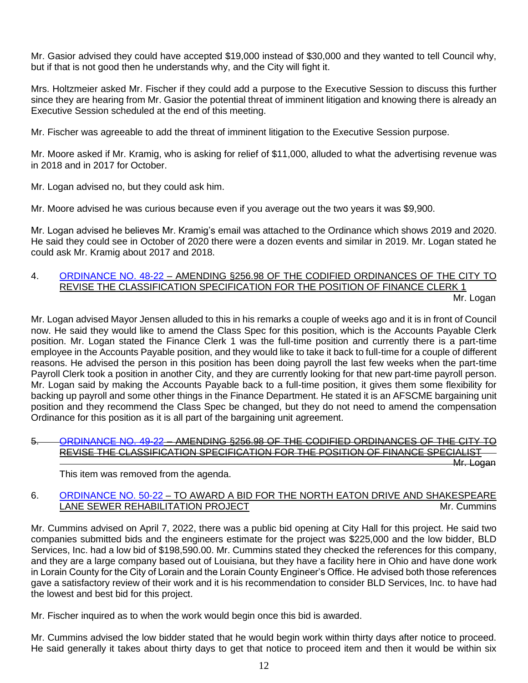Mr. Gasior advised they could have accepted \$19,000 instead of \$30,000 and they wanted to tell Council why, but if that is not good then he understands why, and the City will fight it.

Mrs. Holtzmeier asked Mr. Fischer if they could add a purpose to the Executive Session to discuss this further since they are hearing from Mr. Gasior the potential threat of imminent litigation and knowing there is already an Executive Session scheduled at the end of this meeting.

Mr. Fischer was agreeable to add the threat of imminent litigation to the Executive Session purpose.

Mr. Moore asked if Mr. Kramig, who is asking for relief of \$11,000, alluded to what the advertising revenue was in 2018 and in 2017 for October.

Mr. Logan advised no, but they could ask him.

Mr. Moore advised he was curious because even if you average out the two years it was \$9,900.

Mr. Logan advised he believes Mr. Kramig's email was attached to the Ordinance which shows 2019 and 2020. He said they could see in October of 2020 there were a dozen events and similar in 2019. Mr. Logan stated he could ask Mr. Kramig about 2017 and 2018.

# 4. [ORDINANCE NO. 48-22](https://www.cityofavon.com/DocumentCenter/View/7748/Ordinance-No-48-22-Amend-Class-Spec-Finance-Clerk-1) – AMENDING §256.98 OF THE CODIFIED ORDINANCES OF THE CITY TO REVISE THE CLASSIFICATION SPECIFICATION FOR THE POSITION OF FINANCE CLERK 1

Mr. Logan

Mr. Logan advised Mayor Jensen alluded to this in his remarks a couple of weeks ago and it is in front of Council now. He said they would like to amend the Class Spec for this position, which is the Accounts Payable Clerk position. Mr. Logan stated the Finance Clerk 1 was the full-time position and currently there is a part-time employee in the Accounts Payable position, and they would like to take it back to full-time for a couple of different reasons. He advised the person in this position has been doing payroll the last few weeks when the part-time Payroll Clerk took a position in another City, and they are currently looking for that new part-time payroll person. Mr. Logan said by making the Accounts Payable back to a full-time position, it gives them some flexibility for backing up payroll and some other things in the Finance Department. He stated it is an AFSCME bargaining unit position and they recommend the Class Spec be changed, but they do not need to amend the compensation Ordinance for this position as it is all part of the bargaining unit agreement.

### 5. [ORDINANCE NO. 49-22](https://www.cityofavon.com/DocumentCenter/View/7749/Ordinance-No-49-22-Amend-Class-Spec-Finance-Specialist) – AMENDING §256.98 OF THE CODIFIED ORDINANCES OF THE CITY TO REVISE THE CLASSIFICATION SPECIFICATION FOR THE POSITION OF FINANCE SPECIALIST

Mr. Logan

This item was removed from the agenda.

# 6. [ORDINANCE NO. 50-22](https://www.cityofavon.com/DocumentCenter/View/7750/Ordinance-No-50-22-Award-Bid-North-Eaton-Shakespeare-San-Sewer-Relining) – TO AWARD A BID FOR THE NORTH EATON DRIVE AND SHAKESPEARE LANE SEWER REHABILITATION PROJECT **And a struck of the set of the set of the set of the set of the set of the set of the set of the set of the set of the set of the set of the set of the set of the set of the set of the se**

Mr. Cummins advised on April 7, 2022, there was a public bid opening at City Hall for this project. He said two companies submitted bids and the engineers estimate for the project was \$225,000 and the low bidder, BLD Services, Inc. had a low bid of \$198,590.00. Mr. Cummins stated they checked the references for this company, and they are a large company based out of Louisiana, but they have a facility here in Ohio and have done work in Lorain County for the City of Lorain and the Lorain County Engineer's Office. He advised both those references gave a satisfactory review of their work and it is his recommendation to consider BLD Services, Inc. to have had the lowest and best bid for this project.

Mr. Fischer inquired as to when the work would begin once this bid is awarded.

Mr. Cummins advised the low bidder stated that he would begin work within thirty days after notice to proceed. He said generally it takes about thirty days to get that notice to proceed item and then it would be within six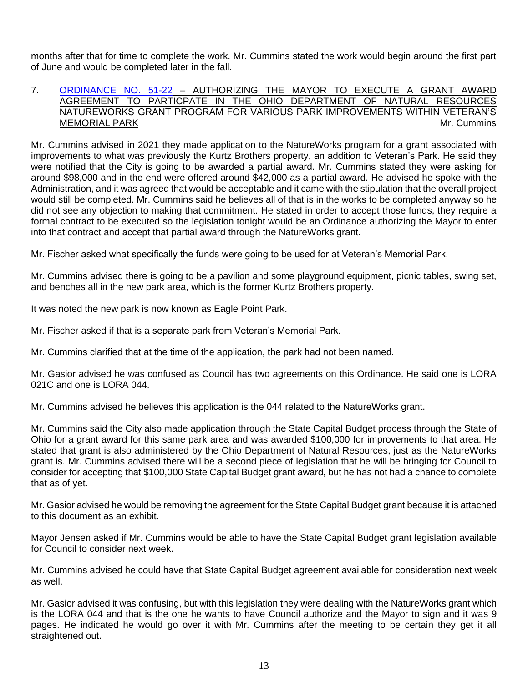months after that for time to complete the work. Mr. Cummins stated the work would begin around the first part of June and would be completed later in the fall.

#### 7. [ORDINANCE NO. 51-22](https://www.cityofavon.com/DocumentCenter/View/7751/Ordinance-No-51-22-Natureworks-Grant) – AUTHORIZING THE MAYOR TO EXECUTE A GRANT AWARD AGREEMENT TO PARTICPATE IN THE OHIO DEPARTMENT OF NATURAL RESOURCES NATUREWORKS GRANT PROGRAM FOR VARIOUS PARK IMPROVEMENTS WITHIN VETERAN'S MEMORIAL PARK **MEMORIAL PARK MEMORIAL PARK**

Mr. Cummins advised in 2021 they made application to the NatureWorks program for a grant associated with improvements to what was previously the Kurtz Brothers property, an addition to Veteran's Park. He said they were notified that the City is going to be awarded a partial award. Mr. Cummins stated they were asking for around \$98,000 and in the end were offered around \$42,000 as a partial award. He advised he spoke with the Administration, and it was agreed that would be acceptable and it came with the stipulation that the overall project would still be completed. Mr. Cummins said he believes all of that is in the works to be completed anyway so he did not see any objection to making that commitment. He stated in order to accept those funds, they require a formal contract to be executed so the legislation tonight would be an Ordinance authorizing the Mayor to enter into that contract and accept that partial award through the NatureWorks grant.

Mr. Fischer asked what specifically the funds were going to be used for at Veteran's Memorial Park.

Mr. Cummins advised there is going to be a pavilion and some playground equipment, picnic tables, swing set, and benches all in the new park area, which is the former Kurtz Brothers property.

It was noted the new park is now known as Eagle Point Park.

Mr. Fischer asked if that is a separate park from Veteran's Memorial Park.

Mr. Cummins clarified that at the time of the application, the park had not been named.

Mr. Gasior advised he was confused as Council has two agreements on this Ordinance. He said one is LORA 021C and one is LORA 044.

Mr. Cummins advised he believes this application is the 044 related to the NatureWorks grant.

Mr. Cummins said the City also made application through the State Capital Budget process through the State of Ohio for a grant award for this same park area and was awarded \$100,000 for improvements to that area. He stated that grant is also administered by the Ohio Department of Natural Resources, just as the NatureWorks grant is. Mr. Cummins advised there will be a second piece of legislation that he will be bringing for Council to consider for accepting that \$100,000 State Capital Budget grant award, but he has not had a chance to complete that as of yet.

Mr. Gasior advised he would be removing the agreement for the State Capital Budget grant because it is attached to this document as an exhibit.

Mayor Jensen asked if Mr. Cummins would be able to have the State Capital Budget grant legislation available for Council to consider next week.

Mr. Cummins advised he could have that State Capital Budget agreement available for consideration next week as well.

Mr. Gasior advised it was confusing, but with this legislation they were dealing with the NatureWorks grant which is the LORA 044 and that is the one he wants to have Council authorize and the Mayor to sign and it was 9 pages. He indicated he would go over it with Mr. Cummins after the meeting to be certain they get it all straightened out.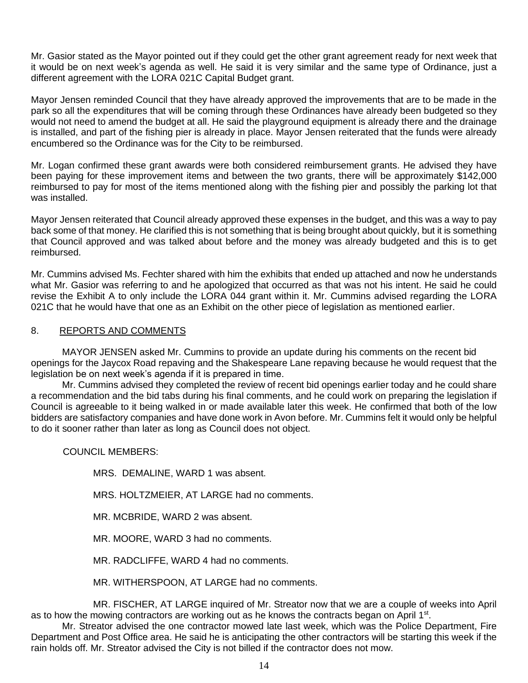Mr. Gasior stated as the Mayor pointed out if they could get the other grant agreement ready for next week that it would be on next week's agenda as well. He said it is very similar and the same type of Ordinance, just a different agreement with the LORA 021C Capital Budget grant.

Mayor Jensen reminded Council that they have already approved the improvements that are to be made in the park so all the expenditures that will be coming through these Ordinances have already been budgeted so they would not need to amend the budget at all. He said the playground equipment is already there and the drainage is installed, and part of the fishing pier is already in place. Mayor Jensen reiterated that the funds were already encumbered so the Ordinance was for the City to be reimbursed.

Mr. Logan confirmed these grant awards were both considered reimbursement grants. He advised they have been paying for these improvement items and between the two grants, there will be approximately \$142,000 reimbursed to pay for most of the items mentioned along with the fishing pier and possibly the parking lot that was installed.

Mayor Jensen reiterated that Council already approved these expenses in the budget, and this was a way to pay back some of that money. He clarified this is not something that is being brought about quickly, but it is something that Council approved and was talked about before and the money was already budgeted and this is to get reimbursed.

Mr. Cummins advised Ms. Fechter shared with him the exhibits that ended up attached and now he understands what Mr. Gasior was referring to and he apologized that occurred as that was not his intent. He said he could revise the Exhibit A to only include the LORA 044 grant within it. Mr. Cummins advised regarding the LORA 021C that he would have that one as an Exhibit on the other piece of legislation as mentioned earlier.

### 8. REPORTS AND COMMENTS

MAYOR JENSEN asked Mr. Cummins to provide an update during his comments on the recent bid openings for the Jaycox Road repaving and the Shakespeare Lane repaving because he would request that the legislation be on next week's agenda if it is prepared in time.

Mr. Cummins advised they completed the review of recent bid openings earlier today and he could share a recommendation and the bid tabs during his final comments, and he could work on preparing the legislation if Council is agreeable to it being walked in or made available later this week. He confirmed that both of the low bidders are satisfactory companies and have done work in Avon before. Mr. Cummins felt it would only be helpful to do it sooner rather than later as long as Council does not object.

COUNCIL MEMBERS:

MRS. DEMALINE, WARD 1 was absent.

MRS. HOLTZMEIER, AT LARGE had no comments.

MR. MCBRIDE, WARD 2 was absent.

MR. MOORE, WARD 3 had no comments.

MR. RADCLIFFE, WARD 4 had no comments.

MR. WITHERSPOON, AT LARGE had no comments.

MR. FISCHER, AT LARGE inquired of Mr. Streator now that we are a couple of weeks into April as to how the mowing contractors are working out as he knows the contracts began on April 1<sup>st</sup>.

Mr. Streator advised the one contractor mowed late last week, which was the Police Department, Fire Department and Post Office area. He said he is anticipating the other contractors will be starting this week if the rain holds off. Mr. Streator advised the City is not billed if the contractor does not mow.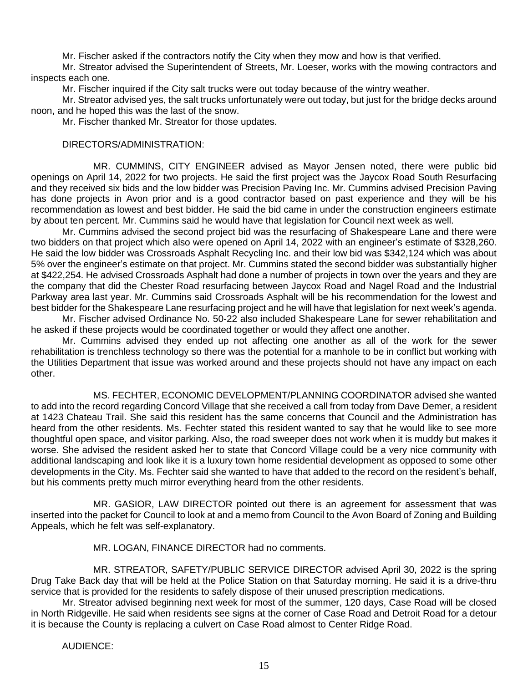Mr. Fischer asked if the contractors notify the City when they mow and how is that verified.

Mr. Streator advised the Superintendent of Streets, Mr. Loeser, works with the mowing contractors and inspects each one.

Mr. Fischer inquired if the City salt trucks were out today because of the wintry weather.

Mr. Streator advised yes, the salt trucks unfortunately were out today, but just for the bridge decks around noon, and he hoped this was the last of the snow.

Mr. Fischer thanked Mr. Streator for those updates.

#### DIRECTORS/ADMINISTRATION:

MR. CUMMINS, CITY ENGINEER advised as Mayor Jensen noted, there were public bid openings on April 14, 2022 for two projects. He said the first project was the Jaycox Road South Resurfacing and they received six bids and the low bidder was Precision Paving Inc. Mr. Cummins advised Precision Paving has done projects in Avon prior and is a good contractor based on past experience and they will be his recommendation as lowest and best bidder. He said the bid came in under the construction engineers estimate by about ten percent. Mr. Cummins said he would have that legislation for Council next week as well.

Mr. Cummins advised the second project bid was the resurfacing of Shakespeare Lane and there were two bidders on that project which also were opened on April 14, 2022 with an engineer's estimate of \$328,260. He said the low bidder was Crossroads Asphalt Recycling Inc. and their low bid was \$342,124 which was about 5% over the engineer's estimate on that project. Mr. Cummins stated the second bidder was substantially higher at \$422,254. He advised Crossroads Asphalt had done a number of projects in town over the years and they are the company that did the Chester Road resurfacing between Jaycox Road and Nagel Road and the Industrial Parkway area last year. Mr. Cummins said Crossroads Asphalt will be his recommendation for the lowest and best bidder for the Shakespeare Lane resurfacing project and he will have that legislation for next week's agenda.

Mr. Fischer advised Ordinance No. 50-22 also included Shakespeare Lane for sewer rehabilitation and he asked if these projects would be coordinated together or would they affect one another.

Mr. Cummins advised they ended up not affecting one another as all of the work for the sewer rehabilitation is trenchless technology so there was the potential for a manhole to be in conflict but working with the Utilities Department that issue was worked around and these projects should not have any impact on each other.

MS. FECHTER, ECONOMIC DEVELOPMENT/PLANNING COORDINATOR advised she wanted to add into the record regarding Concord Village that she received a call from today from Dave Demer, a resident at 1423 Chateau Trail. She said this resident has the same concerns that Council and the Administration has heard from the other residents. Ms. Fechter stated this resident wanted to say that he would like to see more thoughtful open space, and visitor parking. Also, the road sweeper does not work when it is muddy but makes it worse. She advised the resident asked her to state that Concord Village could be a very nice community with additional landscaping and look like it is a luxury town home residential development as opposed to some other developments in the City. Ms. Fechter said she wanted to have that added to the record on the resident's behalf, but his comments pretty much mirror everything heard from the other residents.

MR. GASIOR, LAW DIRECTOR pointed out there is an agreement for assessment that was inserted into the packet for Council to look at and a memo from Council to the Avon Board of Zoning and Building Appeals, which he felt was self-explanatory.

MR. LOGAN, FINANCE DIRECTOR had no comments.

MR. STREATOR, SAFETY/PUBLIC SERVICE DIRECTOR advised April 30, 2022 is the spring Drug Take Back day that will be held at the Police Station on that Saturday morning. He said it is a drive-thru service that is provided for the residents to safely dispose of their unused prescription medications.

Mr. Streator advised beginning next week for most of the summer, 120 days, Case Road will be closed in North Ridgeville. He said when residents see signs at the corner of Case Road and Detroit Road for a detour it is because the County is replacing a culvert on Case Road almost to Center Ridge Road.

AUDIENCE: